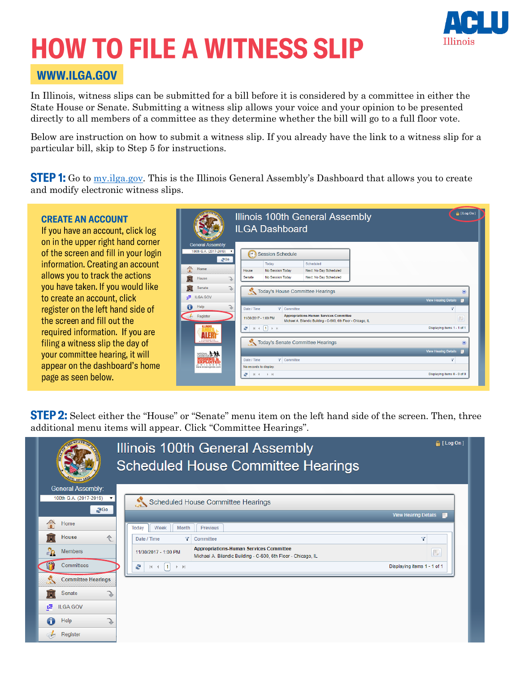

# **HOW TO FILE A WITNESS SLIP**

#### WWW.ILGA.GOV

In Illinois, witness slips can be submitted for a bill before it is considered by a committee in either the State House or Senate. Submitting a witness slip allows your voice and your opinion to be presented directly to all members of a committee as they determine whether the bill will go to a full floor vote.

Below are instruction on how to submit a witness slip. If you already have the link to a witness slip for a particular bill, skip to Step 5 for instructions.

**STEP 1:** Go to [my.ilga.gov](http://my.ilga.gov/). This is the Illinois General Assembly's Dashboard that allows you to create and modify electronic witness slips.



**STEP 2:** Select either the "House" or "Senate" menu item on the left hand side of the screen. Then, three additional menu items will appear. Click "Committee Hearings".

|                               | Illinois 100th General Assembly<br><b>Scheduled House Committee Hearings</b>                                                            | <sup>2</sup> [ Log On ]     |
|-------------------------------|-----------------------------------------------------------------------------------------------------------------------------------------|-----------------------------|
| <b>General Assembly:</b>      |                                                                                                                                         |                             |
| 100th G.A. (2017-2019)<br>200 | Scheduled House Committee Hearings                                                                                                      |                             |
|                               |                                                                                                                                         | <b>View Hearing Details</b> |
| f<br>Home                     | Week<br>Month<br>Previous<br>Today                                                                                                      |                             |
| House<br>仐                    | Date / Time<br>Y<br>Committee                                                                                                           | Y                           |
| $\mathbf{S}_0$<br>Members     | <b>Appropriations-Human Services Committee</b><br>11/30/2017 - 1:00 PM<br>Michael A. Bilandic Building - C-600, 6th Floor - Chicago, IL | D                           |
| Committees                    | ÷,<br> 1 <br>$ b - b $<br>$ 4 - 4 $                                                                                                     | Displaying items 1 - 1 of 1 |
| <b>Committee Hearings</b>     |                                                                                                                                         |                             |
| Senate                        |                                                                                                                                         |                             |
| 讵<br><b>ILGA.GOV</b>          |                                                                                                                                         |                             |
| Help                          |                                                                                                                                         |                             |
| Register                      |                                                                                                                                         |                             |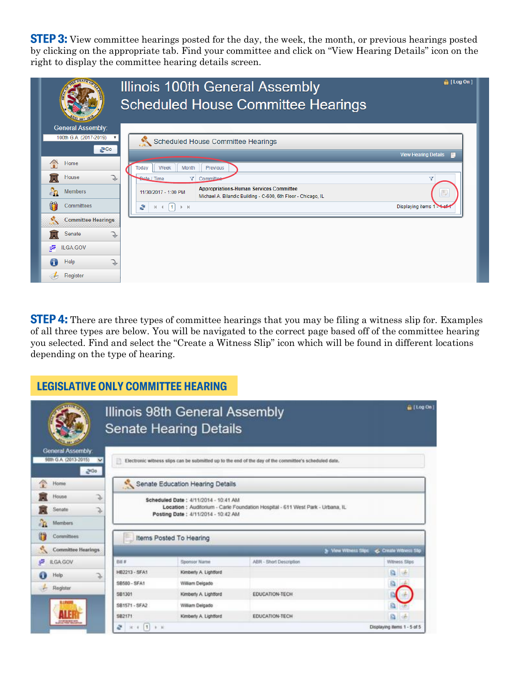**STEP 3:** View committee hearings posted for the day, the week, the month, or previous hearings posted by clicking on the appropriate tab. Find your committee and click on "View Hearing Details" icon on the right to display the committee hearing details screen.

|                               | $\triangle$ [ Log On]<br>Illinois 100th General Assembly<br><b>Scheduled House Committee Hearings</b>                                        |
|-------------------------------|----------------------------------------------------------------------------------------------------------------------------------------------|
| <b>General Assembly:</b>      |                                                                                                                                              |
| 100th G.A. (2017-2019)<br>200 | Scheduled House Committee Hearings                                                                                                           |
|                               | <b>View Hearing Details</b>                                                                                                                  |
| A<br>Home                     | Week<br>Month<br>Previous<br>Todav                                                                                                           |
| House                         | Bate / Time<br>Y Committee<br>Ÿ                                                                                                              |
| LΩ<br><b>Members</b>          | <b>Appropriations-Human Services Committee</b><br>B<br>11/30/2017 - 1:00 PM<br>Michael A. Bilandic Building - C-600, 6th Floor - Chicago, IL |
| m<br>Committees               | Displaying items 1 - Lef-<br>÷<br>$\blacktriangleleft$<br>$ b - b $<br>$\vert \psi \vert$                                                    |
| <b>Committee Hearings</b>     |                                                                                                                                              |
| Senate                        |                                                                                                                                              |
| 讵<br>ILGA.GOV                 |                                                                                                                                              |
| Help                          |                                                                                                                                              |
| Register                      |                                                                                                                                              |

**STEP 4:** There are three types of committee hearings that you may be filing a witness slip for. Examples of all three types are below. You will be navigated to the correct page based off of the committee hearing you selected. Find and select the "Create a Witness Slip" icon which will be found in different locations depending on the type of hearing.

#### **LEGISLATIVE ONLY COMMITTEE HEARING**

|                                                                               |                              | Illinois 98th General Assembly<br><b>Senate Hearing Details</b>                                       |                                                                                                       | in [ Log On]                                 |
|-------------------------------------------------------------------------------|------------------------------|-------------------------------------------------------------------------------------------------------|-------------------------------------------------------------------------------------------------------|----------------------------------------------|
| <b>General Assembly:</b><br>98th G.A. (2013-2015)<br>$\overline{\phantom{a}}$ | Ð                            |                                                                                                       | Electronic witness slips can be submitted up to the end of the day of the committee's scheduled date. |                                              |
| 2400                                                                          |                              |                                                                                                       |                                                                                                       |                                              |
| Home                                                                          |                              | Senate Education Hearing Details                                                                      |                                                                                                       |                                              |
| s<br>House<br>J,<br>Senate<br>иĤ.<br>Members<br>Committees                    |                              | Scheduled Date: 4/11/2014 - 10:41 AM<br>Posting Date: 4/11/2014 - 10:42 AM<br>Items Posted To Hearing | Location : Auditorium - Carle Foundation Hospital - 611 West Park - Urbana, IL                        |                                              |
| $\mathcal{L}_{\mathcal{A}}$<br><b>Committee Hearings</b>                      |                              |                                                                                                       |                                                                                                       | S View Witness Sige<br>C. Create Witness São |
| t.<br><b>ILGA.GOV</b>                                                         | Bit #                        | Sponsor Name                                                                                          | ABR - Short Description                                                                               | Witness Slips                                |
| Help<br>Z                                                                     | HB2213 - SFA1                | Kimberly A. Lightford                                                                                 |                                                                                                       | (d)                                          |
| Register                                                                      | SB580 - SFA1                 | William Delgado                                                                                       |                                                                                                       |                                              |
|                                                                               | SB1301                       | Kimberly A. Lightford                                                                                 | EDUCATION-TECH                                                                                        |                                              |
|                                                                               | SB1571 - SFA2                | William Delgado                                                                                       |                                                                                                       |                                              |
|                                                                               | SB2171                       | Kimberly A. Lightford                                                                                 | EDUCATION-TECH                                                                                        |                                              |
|                                                                               | æ<br> 1 <br>$B - 30$<br>16.4 |                                                                                                       |                                                                                                       | Displaying items 1 - 5 of 5                  |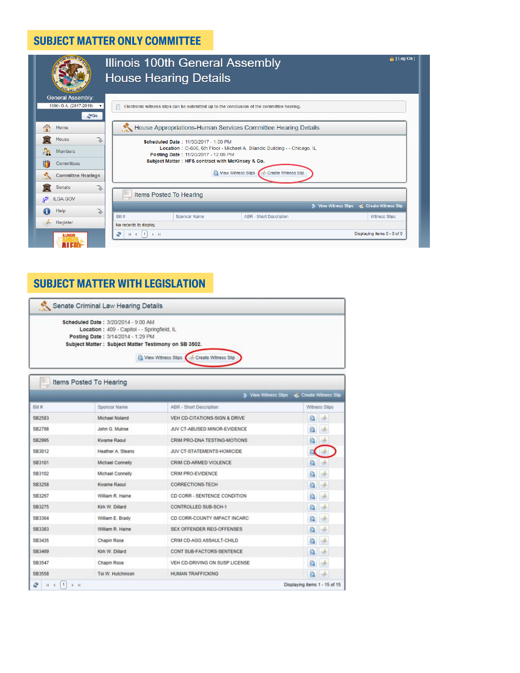## **SUBJECT MATTER ONLY COMMITTEE**

|                                                                                         | $\triangle$ [Log On]<br>Illinois 100th General Assembly<br><b>House Hearing Details</b>                                                                                                                                                                                   |
|-----------------------------------------------------------------------------------------|---------------------------------------------------------------------------------------------------------------------------------------------------------------------------------------------------------------------------------------------------------------------------|
| <b>General Assembly:</b><br>100th G.A. (2017-2019)<br>$\overline{\mathbf{v}}$<br>$E$ Go | Electronic witness slips can be submitted up to the conclusion of the committee hearing.                                                                                                                                                                                  |
| 僧<br>Home                                                                               | House Appropriations-Human Services Committee Hearing Details                                                                                                                                                                                                             |
| House<br>å.<br><b>Members</b><br>m<br>Committees<br><b>Committee Hearings</b>           | Scheduled Date: 11/30/2017 - 1:00 PM<br>Location: C-600, 6th Floor - Michael A. Bilandic Building - - Chicago, IL<br>Posting Date: 11/20/2017 - 12:05 PM<br>Subject Matter: HFS contract with McKinsey & Co.<br><b>Q</b> View Witness Slips<br><b>Create Witness Slip</b> |
| <b>Senate</b><br><b>ILGA.GOV</b><br>哐                                                   | Items Posted To Hearing                                                                                                                                                                                                                                                   |
| Help<br>G                                                                               | <b>C</b> View Witness Slips<br>Create Witness Slip                                                                                                                                                                                                                        |
| Register                                                                                | Bill#<br><b>ABR</b> - Short Description<br><b>Sponsor Name</b><br><b>Witness Slips</b><br>No records to display.                                                                                                                                                          |
| <b>ILLINOIS</b>                                                                         | Displaying items 0 - 0 of 0<br>÷<br>$H \leftarrow \left\lceil 1 \right\rceil$<br>$\begin{array}{ccc} & \multicolumn{3}{c}{} & \multicolumn{3}{c}{} \end{array}$                                                                                                           |

## **SUBJECT MATTER WITH LEGISLATION**

| Senate Criminal Law Hearing Details                  |
|------------------------------------------------------|
| Scheduled Date: 3/20/2014 - 9:00 AM                  |
| Location: 409 - Capitol - - Springfield, IL          |
| Posting Date: 3/14/2014 - 1:29 PM                    |
| Subject Matter: Subject Matter Testimony on SB 3502. |
|                                                      |
| View Witness Slips Create Witness Slip               |
|                                                      |

|        |                   | The View Witness Slips           | Create Witness Stip                  |
|--------|-------------------|----------------------------------|--------------------------------------|
| 日道算    | Sponsor Name      | ABR - Short Description          | Witness Slips                        |
| SB2583 | Michael Noland    | VEH CD-CITATIONS-SIGN & DRIVE    | a<br><b>I</b> st                     |
| SB2798 | John G. Mulroe    | JUV CT-ABUSED MINOR-EVIDENCE     | a<br>$\frac{1}{2}$                   |
| SB2995 | Kwame Raoul       | CRIM PRO-DNA TESTING-MOTIONS     | Q<br>$\frac{1}{2}$                   |
| SB3012 | Heather A. Steans | JUV CT-STATEMENTS-HOMICIDE       |                                      |
| SB3101 | Michael Connelly  | CRIM CD-ARMED VIOLENCE           | a<br>st.                             |
| SB3102 | Michael Connelly  | CRIM PRO-EVIDENCE                | d.<br>Q                              |
| SB3258 | Kwame Raoul       | CORRECTIONS-TECH                 | a<br>i de                            |
| SB3267 | William R. Haine  | CD CORR - SENTENCE CONDITION     | a<br>$\frac{d}{2}$                   |
| SB3275 | Kirk W. Dillard   | CONTROLLED SUB-SCH-1             | a<br>濨                               |
| SB3364 | William E. Brady  | CD CORR-COUNTY IMPACT INCARC     | Q<br>谌                               |
| SB3383 | William R. Haine  | <b>SEX OFFENDER REG-OFFENSES</b> | a<br>vé.                             |
| SB3435 | Chapin Rose       | CRIM CD-AGG ASSAULT-CHILD        | Q<br>$\Phi$                          |
| SB3469 | Kirk W. Dillard   | CONT SUB-FACTORS-SENTENCE        | a<br>谌                               |
| SB3547 | Chapin Rose       | VEH CD-DRIVING ON SUSP LICENSE   | $\left(\frac{f}{\sigma}\right)$<br>Q |
| SB3558 | Toi W. Hutchinson | HUMAN TRAFFICKING                | a<br>$\frac{d}{d\theta}$             |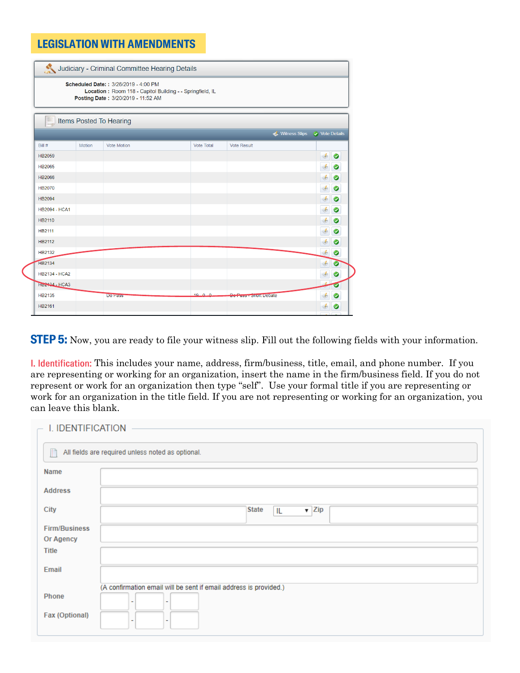### **LEGISLATION WITH AMENDMENTS**

|                           |        | Scheduled Date:: 3/26/2019 - 4:00 PM<br>Location: Room 118 - Capitol Building - - Springfield, IL<br>Posting Date: 3/20/2019 - 11:52 AM |                   |                        |                |
|---------------------------|--------|-----------------------------------------------------------------------------------------------------------------------------------------|-------------------|------------------------|----------------|
|                           |        | Items Posted To Hearing                                                                                                                 |                   |                        |                |
|                           |        |                                                                                                                                         |                   | <b>Vitness Slips</b>   | ◯ Vote Details |
| Bill#                     | Motion | <b>Vote Motion</b>                                                                                                                      | <b>Vote Total</b> | <b>Vote Result</b>     |                |
| HB2059                    |        |                                                                                                                                         |                   |                        | ◉              |
| <b>HB2065</b>             |        |                                                                                                                                         |                   |                        | ❤              |
| <b>HB2066</b>             |        |                                                                                                                                         |                   |                        | ◎<br>F         |
| HB2070                    |        |                                                                                                                                         |                   |                        | ❤              |
| <b>HB2094</b>             |        |                                                                                                                                         |                   |                        | ◎<br>F         |
| <b>HB2094 - HCA1</b>      |        |                                                                                                                                         |                   |                        | ◉              |
| HB2110                    |        |                                                                                                                                         |                   |                        | ◉              |
| HB2111                    |        |                                                                                                                                         |                   |                        | ❤              |
| HB2112                    |        |                                                                                                                                         |                   |                        | ❤              |
| HB2132                    |        |                                                                                                                                         |                   |                        | ❤              |
| HB2134                    |        |                                                                                                                                         |                   |                        | €              |
| <b>HB2134 - HCA2</b>      |        |                                                                                                                                         |                   |                        | G              |
| HB <sub>2424</sub> - HCA3 |        |                                                                                                                                         |                   |                        | ᢦ              |
| HB2135                    |        | <b>Do Pass</b>                                                                                                                          | $19 - 0 - 0$      | Do Pass - Short Debate | Ø              |
| HB2161                    |        |                                                                                                                                         |                   |                        | ❤              |

**STEP 5:** Now, you are ready to file your witness slip. Fill out the following fields with your information.

I. Identification: This includes your name, address, firm/business, title, email, and phone number. If you are representing or working for an organization, insert the name in the firm/business field. If you do not represent or work for an organization then type "self". Use your formal title if you are representing or work for an organization in the title field. If you are not representing or working for an organization, you can leave this blank.

| I. IDENTIFICATION    |                                                                   |  |  |  |  |
|----------------------|-------------------------------------------------------------------|--|--|--|--|
|                      |                                                                   |  |  |  |  |
| Ħ                    | All fields are required unless noted as optional.                 |  |  |  |  |
|                      |                                                                   |  |  |  |  |
| <b>Name</b>          |                                                                   |  |  |  |  |
|                      |                                                                   |  |  |  |  |
| <b>Address</b>       |                                                                   |  |  |  |  |
| City                 | <b>State</b><br>$\overline{\mathbf{v}}$ Zip<br>IL                 |  |  |  |  |
|                      |                                                                   |  |  |  |  |
| <b>Firm/Business</b> |                                                                   |  |  |  |  |
| Or Agency            |                                                                   |  |  |  |  |
| <b>Title</b>         |                                                                   |  |  |  |  |
|                      |                                                                   |  |  |  |  |
| Email                |                                                                   |  |  |  |  |
|                      | (A confirmation email will be sent if email address is provided.) |  |  |  |  |
| Phone                |                                                                   |  |  |  |  |
|                      |                                                                   |  |  |  |  |
| Fax (Optional)       |                                                                   |  |  |  |  |
|                      |                                                                   |  |  |  |  |